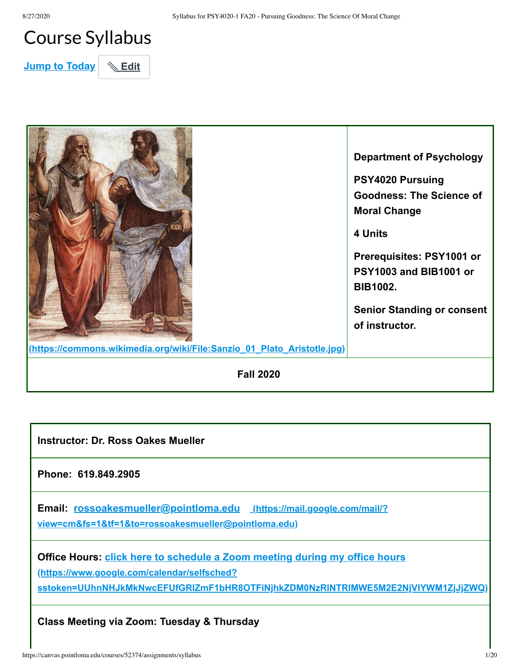# Course Syllabus

**Jump to Today** | **& Edit** 



| <b>Instructor: Dr. Ross Oakes Mueller</b>                                                                                                                                                                            |
|----------------------------------------------------------------------------------------------------------------------------------------------------------------------------------------------------------------------|
| Phone: 619.849.2905                                                                                                                                                                                                  |
| Email: rossoakesmueller@pointloma.edu (https://mail.google.com/mail/?<br>view=cm&fs=1&tf=1&to=rossoakesmueller@pointloma.edu)                                                                                        |
| <b>Office Hours: click here to schedule a Zoom meeting during my office hours</b><br>(https://www.google.com/calendar/selfsched?<br>sstoken=UUhnNHJkMkNwcEFUfGRIZmF1bHR8OTFiNjhkZDM0NzRINTRIMWE5M2E2NjVIYWM1ZjJjZWQ) |
| Class Meeting via Zoom: Tuesday & Thursday                                                                                                                                                                           |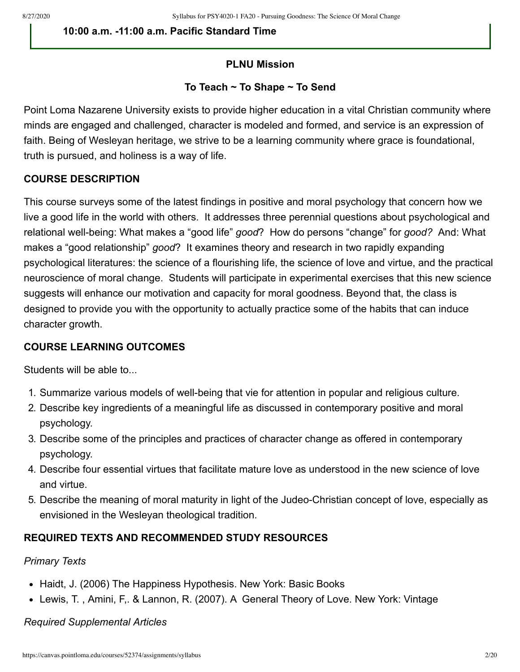**10:00 a.m. -11:00 a.m. Pacific Standard Time** 

# **PLNU Mission**

#### **To Teach ~ To Shape ~ To Send**

Point Loma Nazarene University exists to provide higher education in a vital Christian community where minds are engaged and challenged, character is modeled and formed, and service is an expression of faith. Being of Wesleyan heritage, we strive to be a learning community where grace is foundational, truth is pursued, and holiness is a way of life.

#### **COURSE DESCRIPTION**

This course surveys some of the latest findings in positive and moral psychology that concern how we live a good life in the world with others. It addresses three perennial questions about psychological and relational well-being: What makes a "good life" *good*? How do persons "change" for *good?* And: What makes a "good relationship" *good*? It examines theory and research in two rapidly expanding psychological literatures: the science of a flourishing life, the science of love and virtue, and the practical neuroscience of moral change. Students will participate in experimental exercises that this new science suggests will enhance our motivation and capacity for moral goodness. Beyond that, the class is designed to provide you with the opportunity to actually practice some of the habits that can induce character growth.

# **COURSE LEARNING OUTCOMES**

Students will be able to...

- 1. Summarize various models of well-being that vie for attention in popular and religious culture.
- 2. Describe key ingredients of a meaningful life as discussed in contemporary positive and moral psychology.
- 3. Describe some of the principles and practices of character change as offered in contemporary psychology.
- 4. Describe four essential virtues that facilitate mature love as understood in the new science of love and virtue.
- 5. Describe the meaning of moral maturity in light of the Judeo-Christian concept of love, especially as envisioned in the Wesleyan theological tradition.

# **REQUIRED TEXTS AND RECOMMENDED STUDY RESOURCES**

#### *Primary Texts*

- Haidt, J. (2006) The Happiness Hypothesis. New York: Basic Books
- Lewis, T. , Amini, F,. & Lannon, R. (2007). A General Theory of Love. New York: Vintage

*Required Supplemental Articles*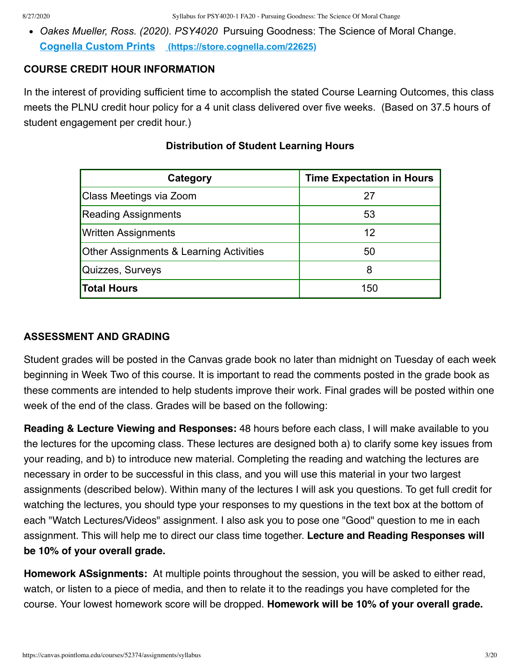*Oakes Mueller, Ross. (2020). PSY4020* Pursuing Goodness: The Science of Moral Change. **Cognella Custom Prints [\(https://store.cognella.com/22625\)](https://store.cognella.com/22625)**

#### **COURSE CREDIT HOUR INFORMATION**

In the interest of providing sufficient time to accomplish the stated Course Learning Outcomes, this class meets the PLNU credit hour policy for a 4 unit class delivered over five weeks. (Based on 37.5 hours of student engagement per credit hour.)

| Category                                | <b>Time Expectation in Hours</b> |
|-----------------------------------------|----------------------------------|
| Class Meetings via Zoom                 | 27                               |
| <b>Reading Assignments</b>              | 53                               |
| <b>Written Assignments</b>              | 12                               |
| Other Assignments & Learning Activities | 50                               |
| Quizzes, Surveys                        | 8                                |
| <b>Total Hours</b>                      | 150                              |

# **Distribution of Student Learning Hours**

#### **ASSESSMENT AND GRADING**

Student grades will be posted in the Canvas grade book no later than midnight on Tuesday of each week beginning in Week Two of this course. It is important to read the comments posted in the grade book as these comments are intended to help students improve their work. Final grades will be posted within one week of the end of the class. Grades will be based on the following:

**Reading & Lecture Viewing and Responses:** 48 hours before each class, I will make available to you the lectures for the upcoming class. These lectures are designed both a) to clarify some key issues from your reading, and b) to introduce new material. Completing the reading and watching the lectures are necessary in order to be successful in this class, and you will use this material in your two largest assignments (described below). Within many of the lectures I will ask you questions. To get full credit for watching the lectures, you should type your responses to my questions in the text box at the bottom of each "Watch Lectures/Videos" assignment. I also ask you to pose one "Good" question to me in each assignment. This will help me to direct our class time together. **Lecture and Reading Responses will be 10% of your overall grade.**

Homework ASsignments: At multiple points throughout the session, you will be asked to either read, watch, or listen to a piece of media, and then to relate it to the readings you have completed for the course. Your lowest homework score will be dropped. **Homework will be 10% of your overall grade.**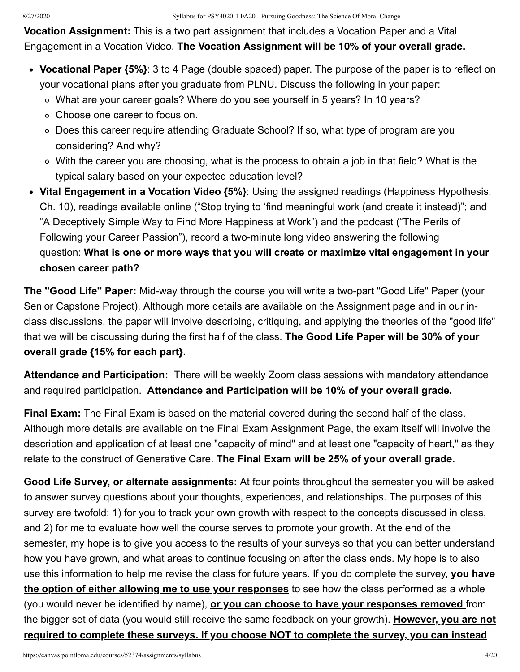**Vocation Assignment:** This is a two part assignment that includes a Vocation Paper and a Vital Engagement in a Vocation Video. **The Vocation Assignment will be 10% of your overall grade.** 

- **Vocational Paper {5%}**: 3 to 4 Page (double spaced) paper. The purpose of the paper is to reflect on your vocational plans after you graduate from PLNU. Discuss the following in your paper:
	- What are your career goals? Where do you see yourself in 5 years? In 10 years?
	- Choose one career to focus on.
	- Does this career require attending Graduate School? If so, what type of program are you considering? And why?
	- With the career you are choosing, what is the process to obtain a job in that field? What is the typical salary based on your expected education level?
- **Vital Engagement in a Vocation Video {5%}**: Using the assigned readings (Happiness Hypothesis, Ch. 10), readings available online ("Stop trying to 'find meaningful work (and create it instead)"; and "A Deceptively Simple Way to Find More Happiness at Work") and the podcast ("The Perils of Following your Career Passion"), record a two-minute long video answering the following question: **What is one or more ways that you will create or maximize vital engagement in your chosen career path?**

**The "Good Life" Paper:** Mid-way through the course you will write a two-part "Good Life" Paper (your Senior Capstone Project). Although more details are available on the Assignment page and in our inclass discussions, the paper will involve describing, critiquing, and applying the theories of the "good life" that we will be discussing during the first half of the class. **The Good Life Paper will be 30% of your overall grade {15% for each part}.** 

**Attendance and Participation:** There will be weekly Zoom class sessions with mandatory attendance and required participation. **Attendance and Participation will be 10% of your overall grade.** 

**Final Exam:** The Final Exam is based on the material covered during the second half of the class. Although more details are available on the Final Exam Assignment Page, the exam itself will involve the description and application of at least one "capacity of mind" and at least one "capacity of heart," as they relate to the construct of Generative Care. **The Final Exam will be 25% of your overall grade.**

**Good Life Survey, or alternate assignments:** At four points throughout the semester you will be asked to answer survey questions about your thoughts, experiences, and relationships. The purposes of this survey are twofold: 1) for you to track your own growth with respect to the concepts discussed in class, and 2) for me to evaluate how well the course serves to promote your growth. At the end of the semester, my hope is to give you access to the results of your surveys so that you can better understand how you have grown, and what areas to continue focusing on after the class ends. My hope is to also use this information to help me revise the class for future years. If you do complete the survey, **you have the option of either allowing me to use your responses** to see how the class performed as a whole (you would never be identified by name), **or you can choose to have your responses removed** from the bigger set of data (you would still receive the same feedback on your growth). **However, you are not required to complete these surveys. If you choose NOT to complete the survey, you can instead**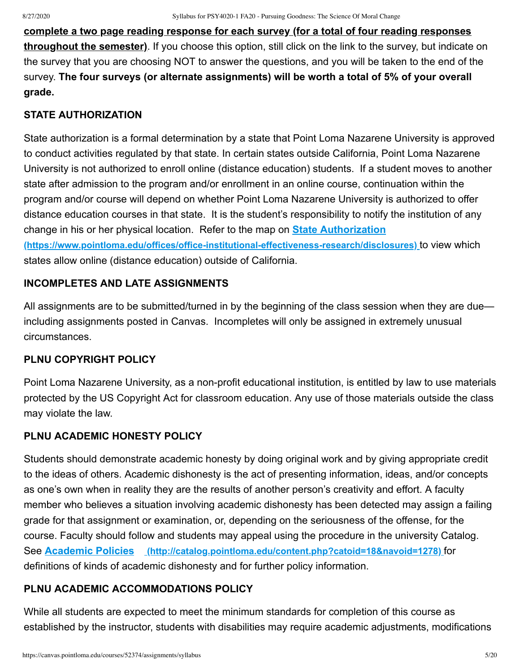**complete a two page reading response for each survey (for a total of four reading responses throughout the semester)**. If you choose this option, still click on the link to the survey, but indicate on the survey that you are choosing NOT to answer the questions, and you will be taken to the end of the survey. **The four surveys (or alternate assignments) will be worth a total of 5% of your overall grade.**

#### **STATE AUTHORIZATION**

State authorization is a formal determination by a state that Point Loma Nazarene University is approved to conduct activities regulated by that state. In certain states outside California, Point Loma Nazarene University is not authorized to enroll online (distance education) students. If a student moves to another state after admission to the program and/or enrollment in an online course, continuation within the program and/or course will depend on whether Point Loma Nazarene University is authorized to offer distance education courses in that state. It is the student's responsibility to notify the institution of any change in his or her physical location. Refer to the map on **State Authorization**

**[\(https://www.pointloma.edu/offices/office-institutional-effectiveness-research/disclosures\)](https://www.pointloma.edu/offices/office-institutional-effectiveness-research/disclosures)** to view which states allow online (distance education) outside of California.

# **INCOMPLETES AND LATE ASSIGNMENTS**

All assignments are to be submitted/turned in by the beginning of the class session when they are due including assignments posted in Canvas. Incompletes will only be assigned in extremely unusual circumstances.

#### **PLNU COPYRIGHT POLICY**

Point Loma Nazarene University, as a non-profit educational institution, is entitled by law to use materials protected by the US Copyright Act for classroom education. Any use of those materials outside the class may violate the law.

# **PLNU ACADEMIC HONESTY POLICY**

Students should demonstrate academic honesty by doing original work and by giving appropriate credit to the ideas of others. Academic dishonesty is the act of presenting information, ideas, and/or concepts as one's own when in reality they are the results of another person's creativity and effort. A faculty member who believes a situation involving academic dishonesty has been detected may assign a failing grade for that assignment or examination, or, depending on the seriousness of the offense, for the course. Faculty should follow and students may appeal using the procedure in the university Catalog. See **Academic Policies [\(http://catalog.pointloma.edu/content.php?catoid=18&navoid=1278\)](http://catalog.pointloma.edu/content.php?catoid=18&navoid=1278)** for definitions of kinds of academic dishonesty and for further policy information.

#### **PLNU ACADEMIC ACCOMMODATIONS POLICY**

While all students are expected to meet the minimum standards for completion of this course as established by the instructor, students with disabilities may require academic adjustments, modifications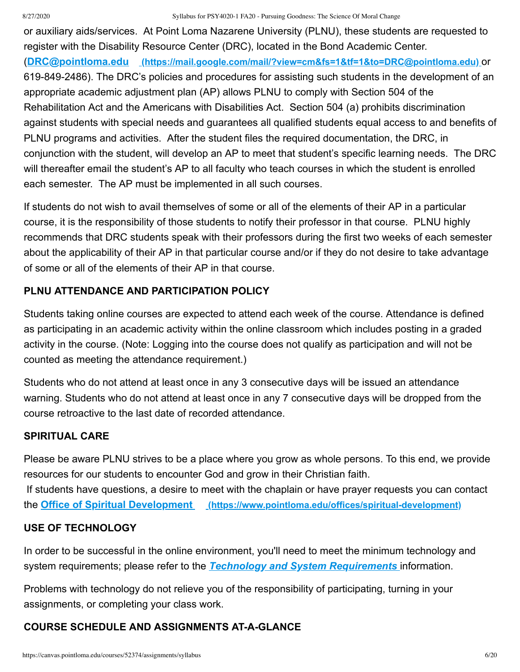#### 8/27/2020 Syllabus for PSY4020-1 FA20 - Pursuing Goodness: The Science Of Moral Change

or auxiliary aids/services. At Point Loma Nazarene University (PLNU), these students are requested to register with the Disability Resource Center (DRC), located in the Bond Academic Center. (**DRC@pointloma.edu [\(https://mail.google.com/mail/?view=cm&fs=1&tf=1&to=DRC@pointloma.edu\)](https://mail.google.com/mail/?view=cm&fs=1&tf=1&to=DRC@pointloma.edu)** or 619-849-2486). The DRC's policies and procedures for assisting such students in the development of an appropriate academic adjustment plan (AP) allows PLNU to comply with Section 504 of the Rehabilitation Act and the Americans with Disabilities Act. Section 504 (a) prohibits discrimination against students with special needs and guarantees all qualified students equal access to and benefits of PLNU programs and activities. After the student files the required documentation, the DRC, in conjunction with the student, will develop an AP to meet that student's specific learning needs. The DRC will thereafter email the student's AP to all faculty who teach courses in which the student is enrolled each semester. The AP must be implemented in all such courses.

If students do not wish to avail themselves of some or all of the elements of their AP in a particular course, it is the responsibility of those students to notify their professor in that course. PLNU highly recommends that DRC students speak with their professors during the first two weeks of each semester about the applicability of their AP in that particular course and/or if they do not desire to take advantage of some or all of the elements of their AP in that course.

# **PLNU ATTENDANCE AND PARTICIPATION POLICY**

Students taking online courses are expected to attend each week of the course. Attendance is defined as participating in an academic activity within the online classroom which includes posting in a graded activity in the course. (Note: Logging into the course does not qualify as participation and will not be counted as meeting the attendance requirement.)

Students who do not attend at least once in any 3 consecutive days will be issued an attendance warning. Students who do not attend at least once in any 7 consecutive days will be dropped from the course retroactive to the last date of recorded attendance.

# **SPIRITUAL CARE**

Please be aware PLNU strives to be a place where you grow as whole persons. To this end, we provide resources for our students to encounter God and grow in their Christian faith. If students have questions, a desire to meet with the chaplain or have prayer requests you can contact the **Office of Spiritual Development [\(https://www.pointloma.edu/offices/spiritual-development\)](https://www.pointloma.edu/offices/spiritual-development)**

# **USE OF TECHNOLOGY**

In order to be successful in the online environment, you'll need to meet the minimum technology and system requirements; please refer to the *[Technology and System Requirements](https://canvas.pointloma.edu/courses/51315/pages/technology-and-system-requirements)* information.

Problems with technology do not relieve you of the responsibility of participating, turning in your assignments, or completing your class work.

# **COURSE SCHEDULE AND ASSIGNMENTS AT-A-GLANCE**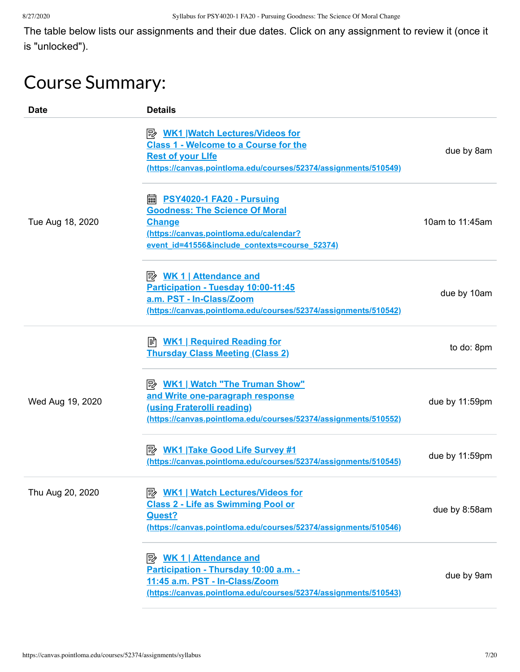The table below lists our assignments and their due dates. Click on any assignment to review it (once it is "unlocked").

# Course Summary:

| <b>Date</b>      | <b>Details</b>                                                                                                                                                                            |                 |
|------------------|-------------------------------------------------------------------------------------------------------------------------------------------------------------------------------------------|-----------------|
|                  | <b>B</b> WK1 Watch Lectures/Videos for<br><b>Class 1 - Welcome to a Course for the</b><br><b>Rest of your Life</b><br>(https://canvas.pointloma.edu/courses/52374/assignments/510549)     | due by 8am      |
| Tue Aug 18, 2020 | <b>A. PSY4020-1 FA20 - Pursuing</b><br><b>Goodness: The Science Of Moral</b><br><b>Change</b><br>(https://canvas.pointloma.edu/calendar?<br>event id=41556&include contexts=course 52374) | 10am to 11:45am |
|                  | <u> <i>WK</i> 1   Attendance and</u><br>Participation - Tuesday 10:00-11:45<br>a.m. PST - In-Class/Zoom<br>(https://canvas.pointloma.edu/courses/52374/assignments/510542)                | due by 10am     |
|                  | ≢ <u>WK1   Required Reading for</u><br><b>Thursday Class Meeting (Class 2)</b>                                                                                                            | to do: 8pm      |
| Wed Aug 19, 2020 | <b>B</b> WK1   Watch "The Truman Show"<br>and Write one-paragraph response<br>(using Fraterolli reading)<br>(https://canvas.pointloma.edu/courses/52374/assignments/510552)               | due by 11:59pm  |
|                  | (https://canvas.pointloma.edu/courses/52374/assignments/510545)                                                                                                                           | due by 11:59pm  |
| Thu Aug 20, 2020 | <b>B</b> WK1   Watch Lectures/Videos for<br><b>Class 2 - Life as Swimming Pool or</b><br>Quest?<br>(https://canvas.pointloma.edu/courses/52374/assignments/510546)                        | due by 8:58am   |
|                  | <u> <i>WK</i> 1   Attendance and</u><br>Participation - Thursday 10:00 a.m. -<br>11:45 a.m. PST - In-Class/Zoom<br>(https://canvas.pointloma.edu/courses/52374/assignments/510543)        | due by 9am      |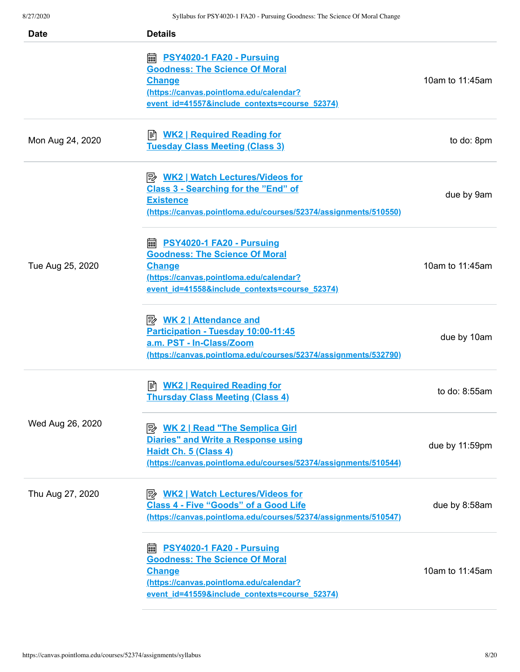| <b>Date</b>      | <b>Details</b>                                                                                                                                                                                        |                 |
|------------------|-------------------------------------------------------------------------------------------------------------------------------------------------------------------------------------------------------|-----------------|
|                  | https://edu.com/marrial/communisment.com/inter-<br><b>Goodness: The Science Of Moral</b><br><b>Change</b><br>(https://canvas.pointloma.edu/calendar?<br>event id=41557&include contexts=course 52374) | 10am to 11:45am |
| Mon Aug 24, 2020 | B WK2   Required Reading for<br><b>Tuesday Class Meeting (Class 3)</b>                                                                                                                                | to do: 8pm      |
|                  | <b>Class 3 - Searching for the "End" of</b><br><b>Existence</b><br>(https://canvas.pointloma.edu/courses/52374/assignments/510550)                                                                    | due by 9am      |
| Tue Aug 25, 2020 | ■ PSY4020-1 FA20 - Pursuing<br><b>Goodness: The Science Of Moral</b><br><b>Change</b><br>(https://canvas.pointloma.edu/calendar?<br>event id=41558&include contexts=course 52374)                     | 10am to 11:45am |
|                  | <b>Attendance and</b><br>Participation - Tuesday 10:00-11:45<br>a.m. PST - In-Class/Zoom<br>(https://canvas.pointloma.edu/courses/52374/assignments/532790)                                           | due by 10am     |
|                  | <b>WK2   Required Reading for</b><br>I≣ا<br><b>Thursday Class Meeting (Class 4)</b>                                                                                                                   | to do: 8:55am   |
| Wed Aug 26, 2020 | <b>B</b> WK 2   Read "The Semplica Girl<br><b>Diaries" and Write a Response using</b><br>Haidt Ch. 5 (Class 4)<br>(https://canvas.pointloma.edu/courses/52374/assignments/510544)                     | due by 11:59pm  |
| Thu Aug 27, 2020 | <b>B</b> WK2   Watch Lectures/Videos for<br><b>Class 4 - Five "Goods" of a Good Life</b><br>(https://canvas.pointloma.edu/courses/52374/assignments/510547)                                           | due by 8:58am   |
|                  | PSY4020-1 FA20 - Pursuing<br>匾<br><b>Goodness: The Science Of Moral</b><br><b>Change</b><br>(https://canvas.pointloma.edu/calendar?<br>event id=41559&include contexts=course 52374)                  | 10am to 11:45am |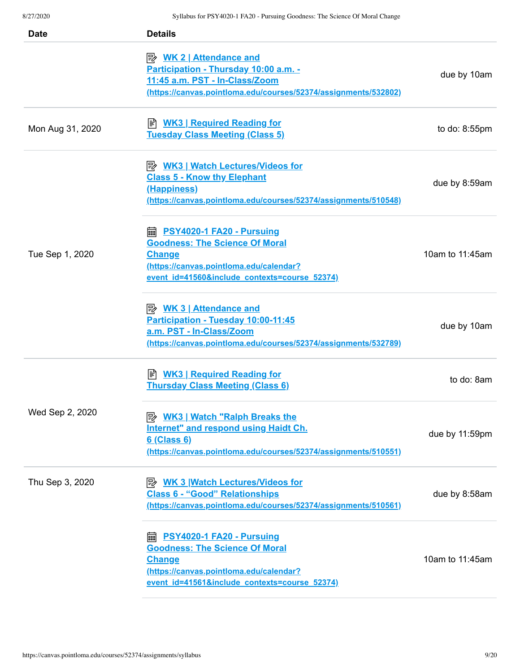| <b>Date</b>      | <b>Details</b>                                                                                                                                                                                 |                 |
|------------------|------------------------------------------------------------------------------------------------------------------------------------------------------------------------------------------------|-----------------|
|                  | <b>Attendance and</b><br>Participation - Thursday 10:00 a.m. -<br>11:45 a.m. PST - In-Class/Zoom<br>(https://canvas.pointloma.edu/courses/52374/assignments/532802)                            | due by 10am     |
| Mon Aug 31, 2020 | <u>WK3   Required Reading for</u><br><b>Tuesday Class Meeting (Class 5)</b>                                                                                                                    | to do: 8:55pm   |
|                  | <b>A. WK3   Watch Lectures/Videos for</b><br><b>Class 5 - Know thy Elephant</b><br>(Happiness)<br>(https://canvas.pointloma.edu/courses/52374/assignments/510548)                              | due by 8:59am   |
| Tue Sep 1, 2020  | <b>■ PSY4020-1 FA20 - Pursuing</b><br><b>Goodness: The Science Of Moral</b><br><b>Change</b><br>(https://canvas.pointloma.edu/calendar?<br>event id=41560&include contexts=course 52374)       | 10am to 11:45am |
|                  | <u> <i>WK</i> 3   Attendance and</u><br>Participation - Tuesday 10:00-11:45<br>a.m. PST - In-Class/Zoom<br>(https://canvas.pointloma.edu/courses/52374/assignments/532789)                     | due by 10am     |
|                  | <b>E</b> WK3   Required Reading for<br><b>Thursday Class Meeting (Class 6)</b>                                                                                                                 | to do: 8am      |
| Wed Sep 2, 2020  | <b>E</b> WK3   Watch "Ralph Breaks the<br>Internet" and respond using Haidt Ch.<br>6 (Class 6)<br>(https://canvas.pointloma.edu/courses/52374/assignments/510551)                              | due by 11:59pm  |
| Thu Sep 3, 2020  | <b>E</b> WK 3 Watch Lectures/Videos for<br><b>Class 6 - "Good" Relationships</b><br>(https://canvas.pointloma.edu/courses/52374/assignments/510561)                                            | due by 8:58am   |
|                  | <b>edge of DSY4020-1 FA20 - Pursuing</b><br><b>Goodness: The Science Of Moral</b><br><b>Change</b><br>(https://canvas.pointloma.edu/calendar?<br>event id=41561&include contexts=course 52374) | 10am to 11:45am |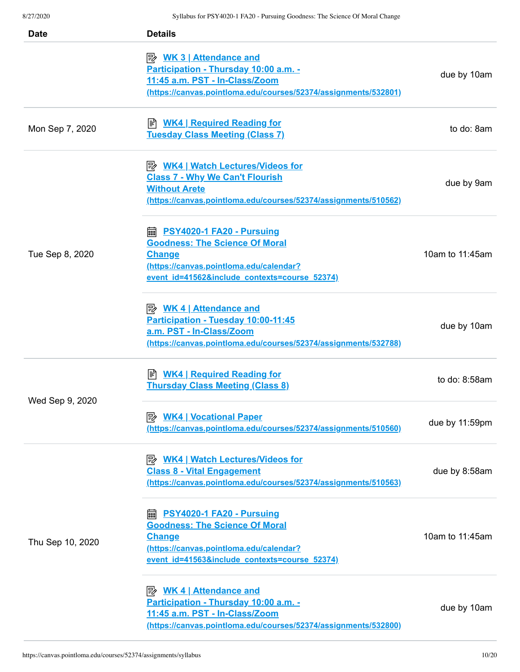| <b>Date</b>      | <b>Details</b>                                                                                                                                                                           |                  |
|------------------|------------------------------------------------------------------------------------------------------------------------------------------------------------------------------------------|------------------|
|                  | <b>B</b> WK 3   Attendance and<br>Participation - Thursday 10:00 a.m. -<br>11:45 a.m. PST - In-Class/Zoom<br>(https://canvas.pointloma.edu/courses/52374/assignments/532801)             | due by 10am      |
| Mon Sep 7, 2020  | ≢ <u>WK4   Required Reading for</u><br><b>Tuesday Class Meeting (Class 7)</b>                                                                                                            | to do: 8am       |
|                  | <b>Class 7 - Why We Can't Flourish</b><br><b>Without Arete</b><br>(https://canvas.pointloma.edu/courses/52374/assignments/510562)                                                        | due by 9am       |
| Tue Sep 8, 2020  | <b>■ PSY4020-1 FA20 - Pursuing</b><br><b>Goodness: The Science Of Moral</b><br><b>Change</b><br>(https://canvas.pointloma.edu/calendar?<br>event id=41562&include contexts=course 52374) | 10am to 11:45am  |
|                  | <u>≫ WK 4   Attendance and</u><br>Participation - Tuesday 10:00-11:45<br>a.m. PST - In-Class/Zoom<br>(https://canvas.pointloma.edu/courses/52374/assignments/532788)                     | due by 10am      |
|                  | <b>WK4   Required Reading for</b><br><b>Thursday Class Meeting (Class 8)</b>                                                                                                             | to do: $8:58$ am |
| Wed Sep 9, 2020  | (https://canvas.pointloma.edu/courses/52374/assignments/510560)                                                                                                                          | due by 11:59pm   |
|                  | <b>B</b> WK4   Watch Lectures/Videos for<br><b>Class 8 - Vital Engagement</b><br>(https://canvas.pointloma.edu/courses/52374/assignments/510563)                                         | due by 8:58am    |
| Thu Sep 10, 2020 | PSY4020-1 FA20 - Pursuing<br>酾<br><b>Goodness: The Science Of Moral</b><br><b>Change</b><br>(https://canvas.pointloma.edu/calendar?<br>event id=41563&include contexts=course 52374)     | 10am to 11:45am  |
|                  | <u> <i>WK</i> 4   Attendance and</u><br>Participation - Thursday 10:00 a.m. -<br>11:45 a.m. PST - In-Class/Zoom<br>(https://canvas.pointloma.edu/courses/52374/assignments/532800)       | due by 10am      |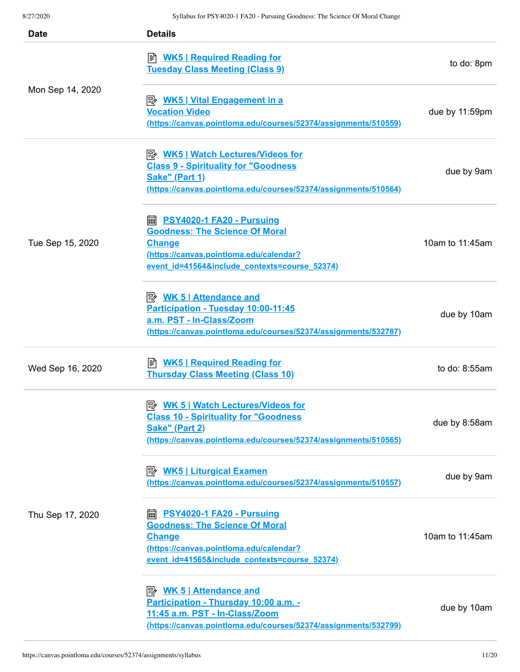| <b>Date</b>      | <b>Details</b>                                                                                                                                                                              |                 |
|------------------|---------------------------------------------------------------------------------------------------------------------------------------------------------------------------------------------|-----------------|
|                  | <b>E</b> WK5   Required Reading for<br><b>Tuesday Class Meeting (Class 9)</b>                                                                                                               | to do: 8pm      |
| Mon Sep 14, 2020 | <u>≫ WK5   Vital Engagement in a</u><br><b>Vocation Video</b><br>(https://canvas.pointloma.edu/courses/52374/assignments/510559)                                                            | due by 11:59pm  |
|                  | <b>B</b> WK5   Watch Lectures/Videos for<br><b>Class 9 - Spirituality for "Goodness</b><br>Sake" (Part 1)<br>(https://canvas.pointloma.edu/courses/52374/assignments/510564)                | due by 9am      |
| Tue Sep 15, 2020 | <b>■ PSY4020-1 FA20 - Pursuing</b><br><b>Goodness: The Science Of Moral</b><br><b>Change</b><br>(https://canvas.pointloma.edu/calendar?<br>event id=41564&include contexts=course 52374)    | 10am to 11:45am |
|                  | Participation - Tuesday 10:00-11:45<br>a.m. PST - In-Class/Zoom<br>(https://canvas.pointloma.edu/courses/52374/assignments/532787)                                                          | due by 10am     |
| Wed Sep 16, 2020 | ≢ <u>WK5   Required Reading for</u><br><b>Thursday Class Meeting (Class 10)</b>                                                                                                             | to do: 8:55am   |
|                  | <b>B</b> WK 5   Watch Lectures/Videos for<br><b>Class 10 - Spirituality for "Goodness</b><br><b>Sake" (Part 2)</b><br>(https://canvas.pointloma.edu/courses/52374/assignments/510565)       | due by 8:58am   |
|                  | (https://canvas.pointloma.edu/courses/52374/assignments/510557)                                                                                                                             | due by 9am      |
| Thu Sep 17, 2020 | <b>PSY4020-1 FA20 - Pursuing</b><br>翩<br><b>Goodness: The Science Of Moral</b><br><b>Change</b><br>(https://canvas.pointloma.edu/calendar?<br>event id=41565&include contexts=course 52374) | 10am to 11:45am |
|                  | Participation - Thursday 10:00 a.m. -<br>11:45 a.m. PST - In-Class/Zoom<br>(https://canvas.pointloma.edu/courses/52374/assignments/532799)                                                  | due by 10am     |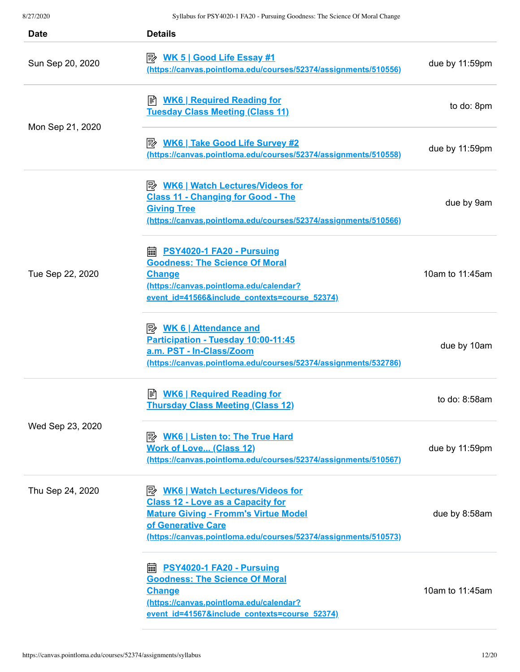| <b>Date</b>      | <b>Details</b>                                                                                                                                                                                                               |                 |
|------------------|------------------------------------------------------------------------------------------------------------------------------------------------------------------------------------------------------------------------------|-----------------|
| Sun Sep 20, 2020 | <u>WK 5   Good Life Essay #1</u><br>(https://canvas.pointloma.edu/courses/52374/assignments/510556)                                                                                                                          | due by 11:59pm  |
|                  | <b>E</b> WK6   Required Reading for<br><b>Tuesday Class Meeting (Class 11)</b>                                                                                                                                               | to do: 8pm      |
| Mon Sep 21, 2020 | <b>E</b> WK6   Take Good Life Survey #2<br>(https://canvas.pointloma.edu/courses/52374/assignments/510558)                                                                                                                   | due by 11:59pm  |
|                  | <b>A</b> WK6   Watch Lectures/Videos for<br><b>Class 11 - Changing for Good - The</b><br><b>Giving Tree</b><br>(https://canvas.pointloma.edu/courses/52374/assignments/510566)                                               | due by 9am      |
| Tue Sep 22, 2020 | <b>A</b> PSY4020-1 FA20 - Pursuing<br><b>Goodness: The Science Of Moral</b><br><b>Change</b><br>(https://canvas.pointloma.edu/calendar?<br>event id=41566&include contexts=course 52374)                                     | 10am to 11:45am |
|                  | $\Rightarrow$ WK 6   Attendance and<br>Participation - Tuesday 10:00-11:45<br>a.m. PST - In-Class/Zoom<br>(https://canvas.pointloma.edu/courses/52374/assignments/532786)                                                    | due by 10am     |
|                  | <b>WK6   Required Reading for</b><br>訚<br><b>Thursday Class Meeting (Class 12)</b>                                                                                                                                           | to do: 8:58am   |
| Wed Sep 23, 2020 | <b>B</b> WK6   Listen to: The True Hard<br><b>Work of Love (Class 12)</b><br>(https://canvas.pointloma.edu/courses/52374/assignments/510567)                                                                                 | due by 11:59pm  |
| Thu Sep 24, 2020 | <b>B</b> WK6   Watch Lectures/Videos for<br><b>Class 12 - Love as a Capacity for</b><br><b>Mature Giving - Fromm's Virtue Model</b><br>of Generative Care<br>(https://canvas.pointloma.edu/courses/52374/assignments/510573) | due by 8:58am   |
|                  | <b>■ PSY4020-1 FA20 - Pursuing</b><br><b>Goodness: The Science Of Moral</b><br><b>Change</b><br>(https://canvas.pointloma.edu/calendar?<br>event id=41567&include contexts=course 52374)                                     | 10am to 11:45am |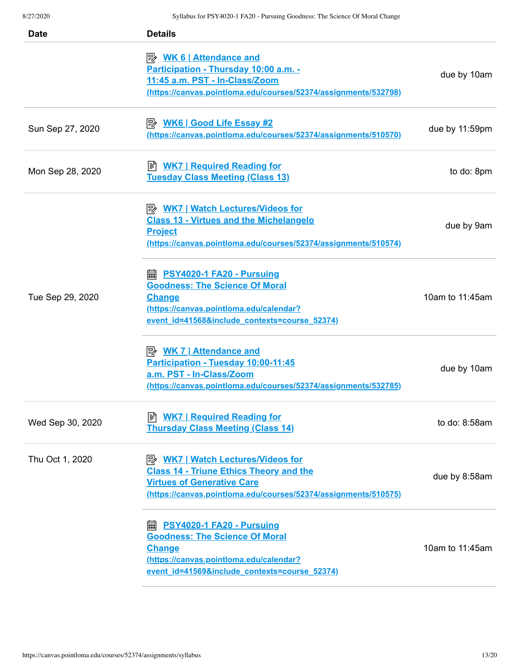| <b>Date</b>      | <b>Details</b>                                                                                                                                                                                     |                 |
|------------------|----------------------------------------------------------------------------------------------------------------------------------------------------------------------------------------------------|-----------------|
|                  | <u> <i>WK</i> 6   Attendance and</u><br>Participation - Thursday 10:00 a.m. -<br>11:45 a.m. PST - In-Class/Zoom<br>(https://canvas.pointloma.edu/courses/52374/assignments/532798)                 | due by 10am     |
| Sun Sep 27, 2020 | P <sup>2</sup> WK6   Good Life Essay #2<br>(https://canvas.pointloma.edu/courses/52374/assignments/510570)                                                                                         | due by 11:59pm  |
| Mon Sep 28, 2020 | <b>WK7   Required Reading for</b><br><b>Tuesday Class Meeting (Class 13)</b>                                                                                                                       | to do: 8pm      |
|                  | <b>B</b> WK7   Watch Lectures/Videos for<br><b>Class 13 - Virtues and the Michelangelo</b><br><b>Project</b><br>(https://canvas.pointloma.edu/courses/52374/assignments/510574)                    | due by 9am      |
| Tue Sep 29, 2020 | <b>■ PSY4020-1 FA20 - Pursuing</b><br><b>Goodness: The Science Of Moral</b><br><b>Change</b><br>(https://canvas.pointloma.edu/calendar?<br>event id=41568&include contexts=course 52374)           | 10am to 11:45am |
|                  | <u> <i>WK 7</i>   Attendance and</u><br>Participation - Tuesday 10:00-11:45<br>a.m. PST - In-Class/Zoom<br>(https://canvas.pointloma.edu/courses/52374/assignments/532785)                         | due by 10am     |
| Wed Sep 30, 2020 | <b>Thursday Class Meeting (Class 14)</b>                                                                                                                                                           | to do: 8:58am   |
| Thu Oct 1, 2020  | <b>B</b> WK7   Watch Lectures/Videos for<br><b>Class 14 - Triune Ethics Theory and the</b><br><b>Virtues of Generative Care</b><br>(https://canvas.pointloma.edu/courses/52374/assignments/510575) | due by 8:58am   |
|                  | <b>■ PSY4020-1 FA20 - Pursuing</b><br><b>Goodness: The Science Of Moral</b><br><b>Change</b><br>(https://canvas.pointloma.edu/calendar?<br>event id=41569&include contexts=course 52374)           | 10am to 11:45am |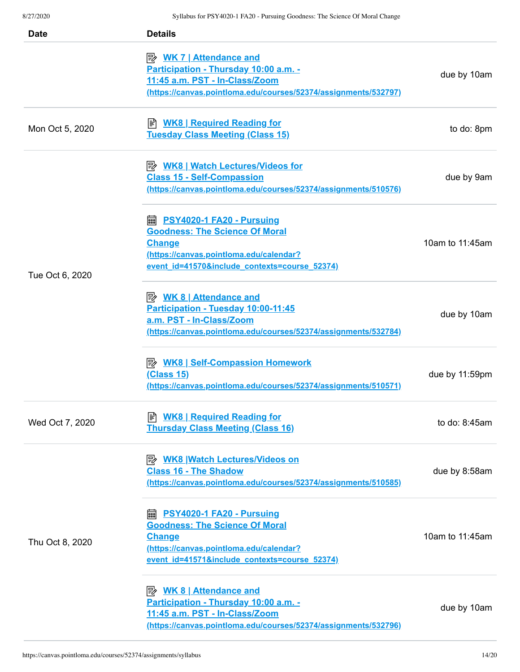| <b>Date</b>     | <b>Details</b>                                                                                                                                                                              |                 |
|-----------------|---------------------------------------------------------------------------------------------------------------------------------------------------------------------------------------------|-----------------|
|                 | <u> <i>WK 7</i>   Attendance and</u><br>Participation - Thursday 10:00 a.m. -<br>11:45 a.m. PST - In-Class/Zoom<br>(https://canvas.pointloma.edu/courses/52374/assignments/532797)          | due by 10am     |
| Mon Oct 5, 2020 | <u>WK8   Required Reading for</u><br><b>Tuesday Class Meeting (Class 15)</b>                                                                                                                | to do: 8pm      |
|                 | <b>Class 15 - Self-Compassion</b><br>(https://canvas.pointloma.edu/courses/52374/assignments/510576)                                                                                        | due by 9am      |
| Tue Oct 6, 2020 | <b>■ PSY4020-1 FA20 - Pursuing</b><br><b>Goodness: The Science Of Moral</b><br><b>Change</b><br>(https://canvas.pointloma.edu/calendar?<br>event id=41570&include contexts=course 52374)    | 10am to 11:45am |
|                 | <u> <i>WK</i> 8   Attendance and</u><br>Participation - Tuesday 10:00-11:45<br>a.m. PST - In-Class/Zoom<br>(https://canvas.pointloma.edu/courses/52374/assignments/532784)                  | due by 10am     |
|                 | <b>E</b> WK8   Self-Compassion Homework<br><u>(Class 15)</u><br>(https://canvas.pointloma.edu/courses/52374/assignments/510571)                                                             | due by 11:59pm  |
| Wed Oct 7, 2020 | <b>WK8   Required Reading for</b><br>ا≣ا<br><b>Thursday Class Meeting (Class 16)</b>                                                                                                        | to do: $8:45am$ |
|                 | <b>A. WK8 Watch Lectures/Videos on</b><br><b>Class 16 - The Shadow</b><br>(https://canvas.pointloma.edu/courses/52374/assignments/510585)                                                   | due by 8:58am   |
| Thu Oct 8, 2020 | <b>PSY4020-1 FA20 - Pursuing</b><br>匾<br><b>Goodness: The Science Of Moral</b><br><b>Change</b><br>(https://canvas.pointloma.edu/calendar?<br>event id=41571&include contexts=course 52374) | 10am to 11:45am |
|                 | <b>Attendance and</b><br>Participation - Thursday 10:00 a.m. -<br>11:45 a.m. PST - In-Class/Zoom<br>(https://canvas.pointloma.edu/courses/52374/assignments/532796)                         | due by 10am     |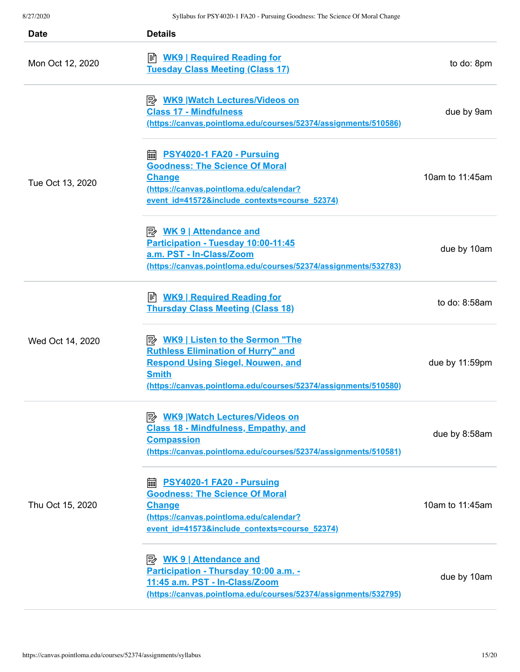| Date             | <b>Details</b>                                                                                                                                                                                                       |                  |
|------------------|----------------------------------------------------------------------------------------------------------------------------------------------------------------------------------------------------------------------|------------------|
| Mon Oct 12, 2020 | <u>WK9   Required Reading for</u><br><b>Tuesday Class Meeting (Class 17)</b>                                                                                                                                         | to do: 8pm       |
|                  | P <sup>→</sup> WK9 Watch Lectures/Videos on<br><b>Class 17 - Mindfulness</b><br>(https://canvas.pointloma.edu/courses/52374/assignments/510586)                                                                      | due by 9am       |
| Tue Oct 13, 2020 | https://edu.com/marrial/communisment.com/inter-<br><b>Goodness: The Science Of Moral</b><br><b>Change</b><br>(https://canvas.pointloma.edu/calendar?<br>event id=41572&include contexts=course 52374)                | 10am to 11:45am  |
|                  | Participation - Tuesday 10:00-11:45<br>a.m. PST - In-Class/Zoom<br>(https://canvas.pointloma.edu/courses/52374/assignments/532783)                                                                                   | due by 10am      |
|                  | ■ <b>WK9   Required Reading for</b><br><b>Thursday Class Meeting (Class 18)</b>                                                                                                                                      | to do: $8:58$ am |
| Wed Oct 14, 2020 | <b>B</b> WK9   Listen to the Sermon "The<br><b>Ruthless Elimination of Hurry" and</b><br><b>Respond Using Siegel, Nouwen, and</b><br><b>Smith</b><br>(https://canvas.pointloma.edu/courses/52374/assignments/510580) | due by 11:59pm   |
|                  | <b>Class 18 - Mindfulness, Empathy, and</b><br><b>Compassion</b><br>(https://canvas.pointloma.edu/courses/52374/assignments/510581)                                                                                  | due by 8:58am    |
| Thu Oct 15, 2020 | <b>edge <u>PSY4020-1 FA20 - Pursuing</u></b><br><b>Goodness: The Science Of Moral</b><br><b>Change</b><br>(https://canvas.pointloma.edu/calendar?<br>event id=41573&include contexts=course 52374)                   | 10am to 11:45am  |
|                  | Participation - Thursday 10:00 a.m. -<br>11:45 a.m. PST - In-Class/Zoom<br>(https://canvas.pointloma.edu/courses/52374/assignments/532795)                                                                           | due by 10am      |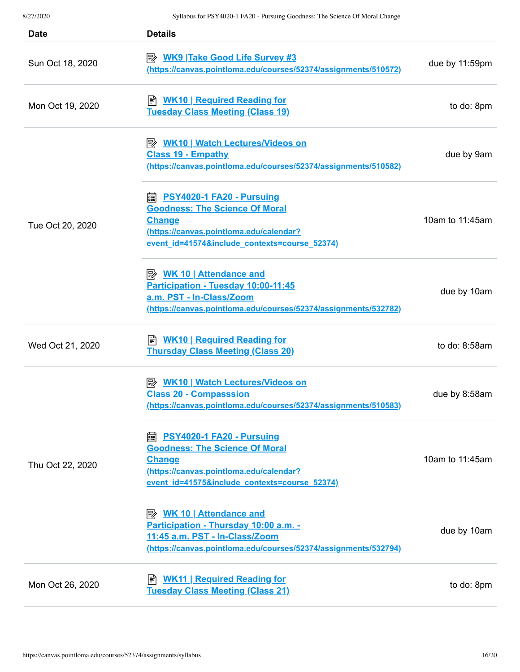| <b>Date</b>      | <b>Details</b>                                                                                                                                                                              |                 |
|------------------|---------------------------------------------------------------------------------------------------------------------------------------------------------------------------------------------|-----------------|
| Sun Oct 18, 2020 | <b>E</b> WK9 Take Good Life Survey #3<br>(https://canvas.pointloma.edu/courses/52374/assignments/510572)                                                                                    | due by 11:59pm  |
| Mon Oct 19, 2020 | B WK10   Required Reading for<br><b>Tuesday Class Meeting (Class 19)</b>                                                                                                                    | to do: 8pm      |
|                  | <b>A</b> WK10   Watch Lectures/Videos on<br><b>Class 19 - Empathy</b><br>(https://canvas.pointloma.edu/courses/52374/assignments/510582)                                                    | due by 9am      |
| Tue Oct 20, 2020 | <b>■ PSY4020-1 FA20 - Pursuing</b><br><b>Goodness: The Science Of Moral</b><br><b>Change</b><br>(https://canvas.pointloma.edu/calendar?<br>event id=41574&include contexts=course 52374)    | 10am to 11:45am |
|                  | <u> <i>WK</i> 10   Attendance and</u><br>Participation - Tuesday 10:00-11:45<br>a.m. PST - In-Class/Zoom<br>(https://canvas.pointloma.edu/courses/52374/assignments/532782)                 | due by 10am     |
| Wed Oct 21, 2020 | <b>B</b> WK10   Required Reading for<br><b>Thursday Class Meeting (Class 20)</b>                                                                                                            | to do: 8:58am   |
|                  | <b>Class 20 - Compasssion</b><br>(https://canvas.pointloma.edu/courses/52374/assignments/510583)                                                                                            | due by 8:58am   |
| Thu Oct 22, 2020 | <b>PSY4020-1 FA20 - Pursuing</b><br>繭<br><b>Goodness: The Science Of Moral</b><br><b>Change</b><br>(https://canvas.pointloma.edu/calendar?<br>event id=41575&include contexts=course 52374) | 10am to 11:45am |
|                  | <u> <i>WK</i> 10   Attendance and</u><br>Participation - Thursday 10:00 a.m. -<br>11:45 a.m. PST - In-Class/Zoom<br>(https://canvas.pointloma.edu/courses/52374/assignments/532794)         | due by 10am     |
| Mon Oct 26, 2020 | <b>WK11   Required Reading for</b><br><b>Tuesday Class Meeting (Class 21)</b>                                                                                                               | to do: 8pm      |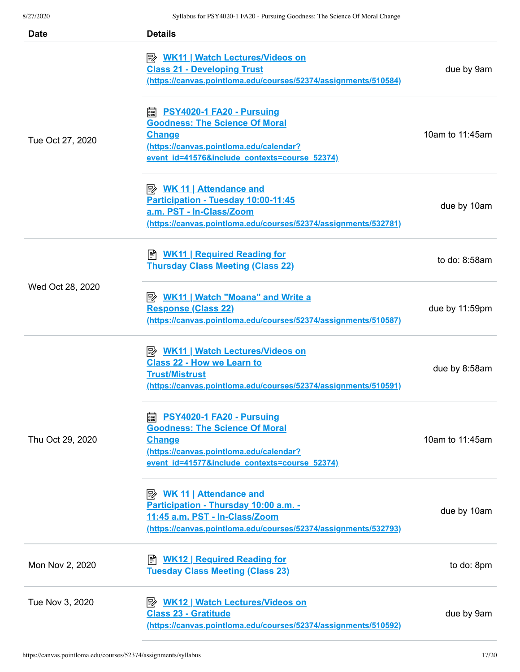| <b>Date</b>      | <b>Details</b>                                                                                                                                                                              |                  |
|------------------|---------------------------------------------------------------------------------------------------------------------------------------------------------------------------------------------|------------------|
| Tue Oct 27, 2020 | P WK11   Watch Lectures/Videos on<br><b>Class 21 - Developing Trust</b><br>(https://canvas.pointloma.edu/courses/52374/assignments/510584)                                                  | due by 9am       |
|                  | <b>PSY4020-1 FA20 - Pursuing</b><br>翩<br><b>Goodness: The Science Of Moral</b><br><b>Change</b><br>(https://canvas.pointloma.edu/calendar?<br>event id=41576&include contexts=course 52374) | 10am to 11:45am  |
|                  | <u>≫ WK 11   Attendance and</u><br>Participation - Tuesday 10:00-11:45<br>a.m. PST - In-Class/Zoom<br>(https://canvas.pointloma.edu/courses/52374/assignments/532781)                       | due by 10am      |
| Wed Oct 28, 2020 | <b>WK11   Required Reading for</b><br>闫<br><b>Thursday Class Meeting (Class 22)</b>                                                                                                         | to do: $8:58$ am |
|                  | <u> <i>WK11</i>   Watch "Moana" and Write a</u><br><b>Response (Class 22)</b><br>(https://canvas.pointloma.edu/courses/52374/assignments/510587)                                            | due by 11:59pm   |
| Thu Oct 29, 2020 | P WK11   Watch Lectures/Videos on<br><b>Class 22 - How we Learn to</b><br><b>Trust/Mistrust</b><br>(https://canvas.pointloma.edu/courses/52374/assignments/510591)                          | due by 8:58am    |
|                  | PSY4020-1 FA20 - Pursuing<br>翩<br><b>Goodness: The Science Of Moral</b><br><b>Change</b><br>(https://canvas.pointloma.edu/calendar?<br>event id=41577&include contexts=course 52374)        | 10am to 11:45am  |
|                  | <b>Attendance and</b><br>Participation - Thursday 10:00 a.m. -<br>11:45 a.m. PST - In-Class/Zoom<br>(https://canvas.pointloma.edu/courses/52374/assignments/532793)                         | due by 10am      |
| Mon Nov 2, 2020  | <b>WK12   Required Reading for</b><br>闫<br><b>Tuesday Class Meeting (Class 23)</b>                                                                                                          | to do: 8pm       |
| Tue Nov 3, 2020  | P WK12   Watch Lectures/Videos on<br><b>Class 23 - Gratitude</b><br>(https://canvas.pointloma.edu/courses/52374/assignments/510592)                                                         | due by 9am       |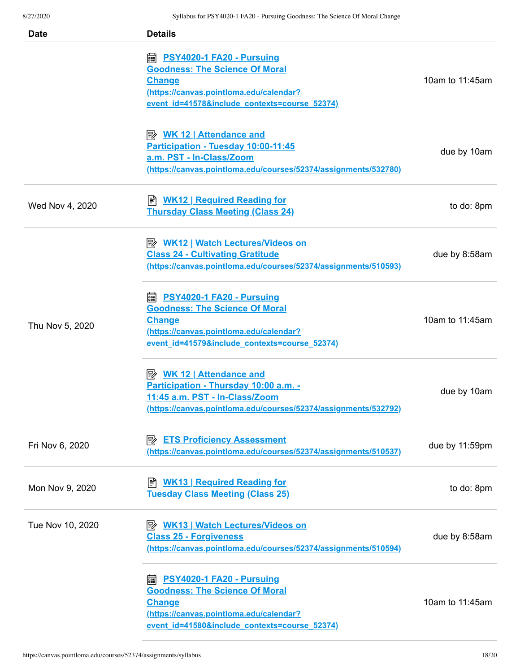| <b>Date</b>      | <b>Details</b>                                                                                                                                                                                                                                                                                                                                            |                 |
|------------------|-----------------------------------------------------------------------------------------------------------------------------------------------------------------------------------------------------------------------------------------------------------------------------------------------------------------------------------------------------------|-----------------|
|                  | https://edu.com/millips/2016/millips/millips/millips/millips/millips/millips/millips/millips/millips/millips/m<br>https://edu.com/millips/millips/millips/millips/millips/millips/millips/millips/m<br><b>Goodness: The Science Of Moral</b><br><b>Change</b><br>(https://canvas.pointloma.edu/calendar?<br>event id=41578&include contexts=course 52374) | 10am to 11:45am |
|                  | <b>WK 12   Attendance and</b><br>Participation - Tuesday 10:00-11:45<br>a.m. PST - In-Class/Zoom<br>(https://canvas.pointloma.edu/courses/52374/assignments/532780)                                                                                                                                                                                       | due by 10am     |
| Wed Nov 4, 2020  | <b>WK12   Required Reading for</b><br><b>Thursday Class Meeting (Class 24)</b>                                                                                                                                                                                                                                                                            | to do: 8pm      |
| Thu Nov 5, 2020  | P <sup>2</sup> WK12   Watch Lectures/Videos on<br><b>Class 24 - Cultivating Gratitude</b><br>(https://canvas.pointloma.edu/courses/52374/assignments/510593)                                                                                                                                                                                              | due by 8:58am   |
|                  | <b>■ PSY4020-1 FA20 - Pursuing</b><br><b>Goodness: The Science Of Moral</b><br><b>Change</b><br>(https://canvas.pointloma.edu/calendar?<br>event id=41579&include contexts=course 52374)                                                                                                                                                                  | 10am to 11:45am |
|                  | Participation - Thursday 10:00 a.m. -<br>11:45 a.m. PST - In-Class/Zoom<br>(https://canvas.pointloma.edu/courses/52374/assignments/532792)                                                                                                                                                                                                                | due by 10am     |
| Fri Nov 6, 2020  | <b>EX ETS Proficiency Assessment</b><br>(https://canvas.pointloma.edu/courses/52374/assignments/510537)                                                                                                                                                                                                                                                   | due by 11:59pm  |
| Mon Nov 9, 2020  | <b>WK13   Required Reading for</b><br>冒<br><b>Tuesday Class Meeting (Class 25)</b>                                                                                                                                                                                                                                                                        | to do: 8pm      |
| Tue Nov 10, 2020 | P <sup>2</sup> WK13   Watch Lectures/Videos on<br><b>Class 25 - Forgiveness</b><br>(https://canvas.pointloma.edu/courses/52374/assignments/510594)                                                                                                                                                                                                        | due by 8:58am   |
|                  | <b>emphis PSY4020-1 FA20 - Pursuing</b><br><b>Goodness: The Science Of Moral</b><br><b>Change</b><br>(https://canvas.pointloma.edu/calendar?<br>event id=41580&include contexts=course 52374)                                                                                                                                                             | 10am to 11:45am |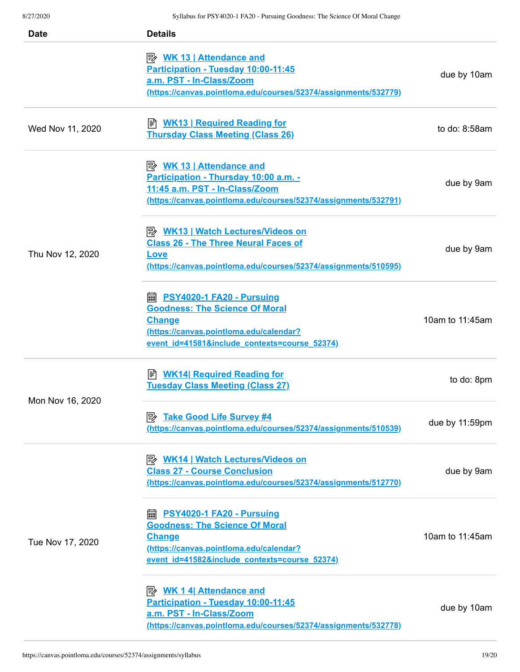| <b>Date</b>      | <b>Details</b>                                                                                                                                                                                        |                  |
|------------------|-------------------------------------------------------------------------------------------------------------------------------------------------------------------------------------------------------|------------------|
|                  | <u>WK 13   Attendance and</u><br>Participation - Tuesday 10:00-11:45<br>a.m. PST - In-Class/Zoom<br>(https://canvas.pointloma.edu/courses/52374/assignments/532779)                                   | due by 10am      |
| Wed Nov 11, 2020 | <u>WK13   Required Reading for</u><br><b>Thursday Class Meeting (Class 26)</b>                                                                                                                        | to do: $8:58$ am |
| Thu Nov 12, 2020 | <b>WK 13   Attendance and</b><br>Participation - Thursday 10:00 a.m. -<br>11:45 a.m. PST - In-Class/Zoom<br>(https://canvas.pointloma.edu/courses/52374/assignments/532791)                           | due by 9am       |
|                  | <b>B</b> WK13   Watch Lectures/Videos on<br><b>Class 26 - The Three Neural Faces of</b><br>Love<br>(https://canvas.pointloma.edu/courses/52374/assignments/510595)                                    | due by 9am       |
|                  | https://edu.com/marrial/communisment.com/inter-<br><b>Goodness: The Science Of Moral</b><br><b>Change</b><br>(https://canvas.pointloma.edu/calendar?<br>event_id=41581&include_contexts=course_52374) | 10am to 11:45am  |
| Mon Nov 16, 2020 | <b>WK14 Required Reading for</b><br>訚<br><b>Tuesday Class Meeting (Class 27)</b>                                                                                                                      | to do: 8pm       |
|                  | <b>E</b> Take Good Life Survey #4<br>(https://canvas.pointloma.edu/courses/52374/assignments/510539)                                                                                                  | due by 11:59pm   |
| Tue Nov 17, 2020 | <b>B</b> WK14   Watch Lectures/Videos on<br><b>Class 27 - Course Conclusion</b><br>(https://canvas.pointloma.edu/courses/52374/assignments/512770)                                                    | due by 9am       |
|                  | PSY4020-1 FA20 - Pursuing<br>匾<br><b>Goodness: The Science Of Moral</b><br><b>Change</b><br>(https://canvas.pointloma.edu/calendar?<br>event id=41582&include contexts=course 52374)                  | 10am to 11:45am  |
|                  | Participation - Tuesday 10:00-11:45<br>a.m. PST - In-Class/Zoom<br>(https://canvas.pointloma.edu/courses/52374/assignments/532778)                                                                    | due by 10am      |